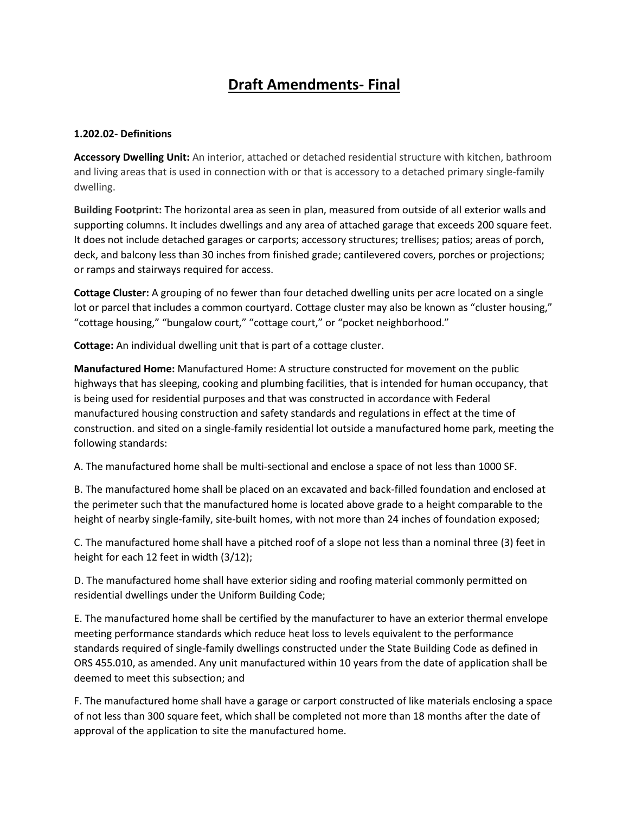# **Draft Amendments- Final**

## **1.202.02- Definitions**

**Accessory Dwelling Unit:** An interior, attached or detached residential structure with kitchen, bathroom and living areas that is used in connection with or that is accessory to a detached primary single-family dwelling.

**Building Footprint:** The horizontal area as seen in plan, measured from outside of all exterior walls and supporting columns. It includes dwellings and any area of attached garage that exceeds 200 square feet. It does not include detached garages or carports; accessory structures; trellises; patios; areas of porch, deck, and balcony less than 30 inches from finished grade; cantilevered covers, porches or projections; or ramps and stairways required for access.

**Cottage Cluster:** A grouping of no fewer than four detached dwelling units per acre located on a single lot or parcel that includes a common courtyard. Cottage cluster may also be known as "cluster housing," "cottage housing," "bungalow court," "cottage court," or "pocket neighborhood."

**Cottage:** An individual dwelling unit that is part of a cottage cluster.

**Manufactured Home:** Manufactured Home: A structure constructed for movement on the public highways that has sleeping, cooking and plumbing facilities, that is intended for human occupancy, that is being used for residential purposes and that was constructed in accordance with Federal manufactured housing construction and safety standards and regulations in effect at the time of construction. and sited on a single-family residential lot outside a manufactured home park, meeting the following standards:

A. The manufactured home shall be multi-sectional and enclose a space of not less than 1000 SF.

B. The manufactured home shall be placed on an excavated and back-filled foundation and enclosed at the perimeter such that the manufactured home is located above grade to a height comparable to the height of nearby single-family, site-built homes, with not more than 24 inches of foundation exposed;

C. The manufactured home shall have a pitched roof of a slope not less than a nominal three (3) feet in height for each 12 feet in width (3/12);

D. The manufactured home shall have exterior siding and roofing material commonly permitted on residential dwellings under the Uniform Building Code;

E. The manufactured home shall be certified by the manufacturer to have an exterior thermal envelope meeting performance standards which reduce heat loss to levels equivalent to the performance standards required of single-family dwellings constructed under the State Building Code as defined in ORS 455.010, as amended. Any unit manufactured within 10 years from the date of application shall be deemed to meet this subsection; and

F. The manufactured home shall have a garage or carport constructed of like materials enclosing a space of not less than 300 square feet, which shall be completed not more than 18 months after the date of approval of the application to site the manufactured home.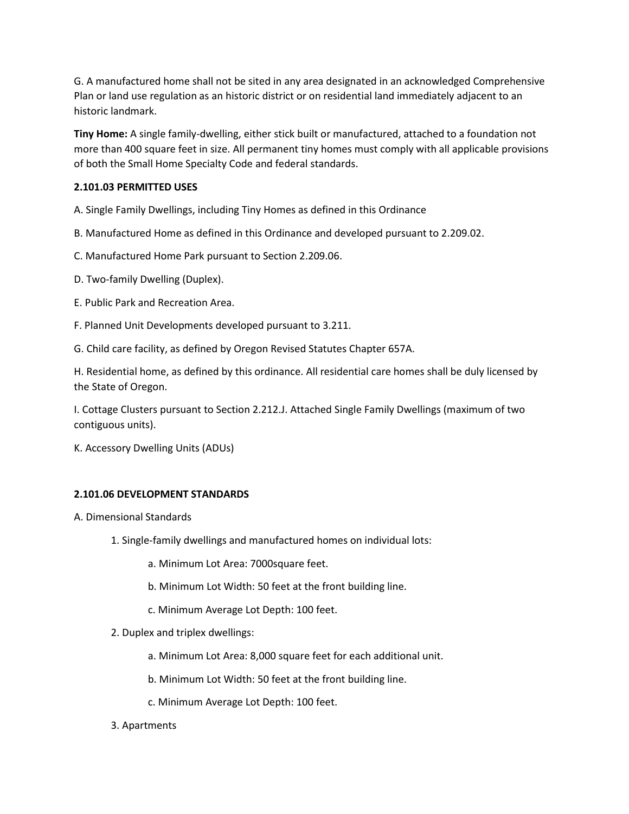G. A manufactured home shall not be sited in any area designated in an acknowledged Comprehensive Plan or land use regulation as an historic district or on residential land immediately adjacent to an historic landmark.

**Tiny Home:** A single family-dwelling, either stick built or manufactured, attached to a foundation not more than 400 square feet in size. All permanent tiny homes must comply with all applicable provisions of both the Small Home Specialty Code and federal standards.

## **2.101.03 PERMITTED USES**

A. Single Family Dwellings, including Tiny Homes as defined in this Ordinance

B. Manufactured Home as defined in this Ordinance and developed pursuant to 2.209.02.

C. Manufactured Home Park pursuant to Section 2.209.06.

- D. Two-family Dwelling (Duplex).
- E. Public Park and Recreation Area.
- F. Planned Unit Developments developed pursuant to 3.211.
- G. Child care facility, as defined by Oregon Revised Statutes Chapter 657A.

H. Residential home, as defined by this ordinance. All residential care homes shall be duly licensed by the State of Oregon.

I. Cottage Clusters pursuant to Section 2.212.J. Attached Single Family Dwellings (maximum of two contiguous units).

K. Accessory Dwelling Units (ADUs)

## **2.101.06 DEVELOPMENT STANDARDS**

A. Dimensional Standards

- 1. Single-family dwellings and manufactured homes on individual lots:
	- a. Minimum Lot Area: 7000square feet.
	- b. Minimum Lot Width: 50 feet at the front building line.
	- c. Minimum Average Lot Depth: 100 feet.
- 2. Duplex and triplex dwellings:
	- a. Minimum Lot Area: 8,000 square feet for each additional unit.
	- b. Minimum Lot Width: 50 feet at the front building line.
	- c. Minimum Average Lot Depth: 100 feet.
- 3. Apartments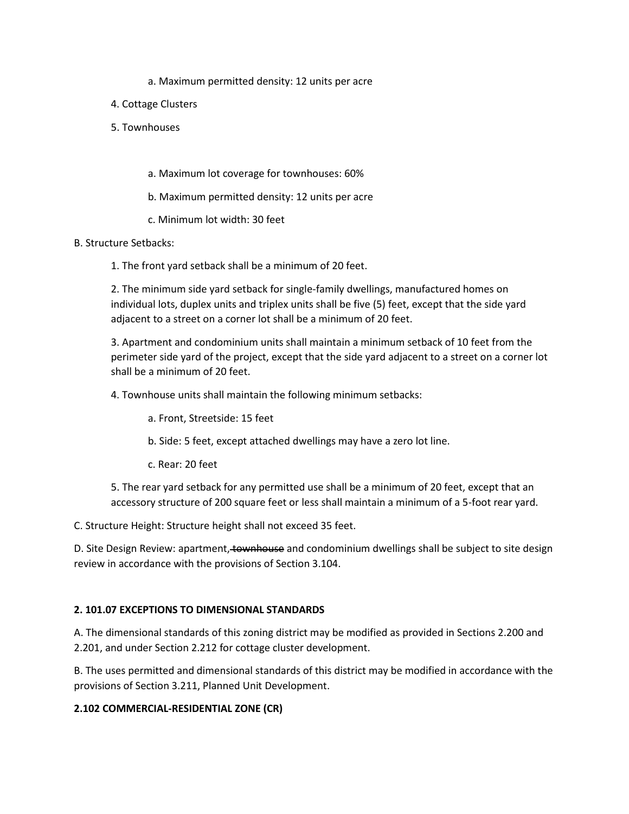- a. Maximum permitted density: 12 units per acre
- 4. Cottage Clusters
- 5. Townhouses
	- a. Maximum lot coverage for townhouses: 60%
	- b. Maximum permitted density: 12 units per acre
	- c. Minimum lot width: 30 feet

## B. Structure Setbacks:

1. The front yard setback shall be a minimum of 20 feet.

2. The minimum side yard setback for single-family dwellings, manufactured homes on individual lots, duplex units and triplex units shall be five (5) feet, except that the side yard adjacent to a street on a corner lot shall be a minimum of 20 feet.

3. Apartment and condominium units shall maintain a minimum setback of 10 feet from the perimeter side yard of the project, except that the side yard adjacent to a street on a corner lot shall be a minimum of 20 feet.

4. Townhouse units shall maintain the following minimum setbacks:

- a. Front, Streetside: 15 feet
- b. Side: 5 feet, except attached dwellings may have a zero lot line.
- c. Rear: 20 feet

5. The rear yard setback for any permitted use shall be a minimum of 20 feet, except that an accessory structure of 200 square feet or less shall maintain a minimum of a 5-foot rear yard.

C. Structure Height: Structure height shall not exceed 35 feet.

D. Site Design Review: apartment, townhouse and condominium dwellings shall be subject to site design review in accordance with the provisions of Section 3.104.

## **2. 101.07 EXCEPTIONS TO DIMENSIONAL STANDARDS**

A. The dimensional standards of this zoning district may be modified as provided in Sections 2.200 and 2.201, and under Section 2.212 for cottage cluster development.

B. The uses permitted and dimensional standards of this district may be modified in accordance with the provisions of Section 3.211, Planned Unit Development.

## **2.102 COMMERCIAL-RESIDENTIAL ZONE (CR)**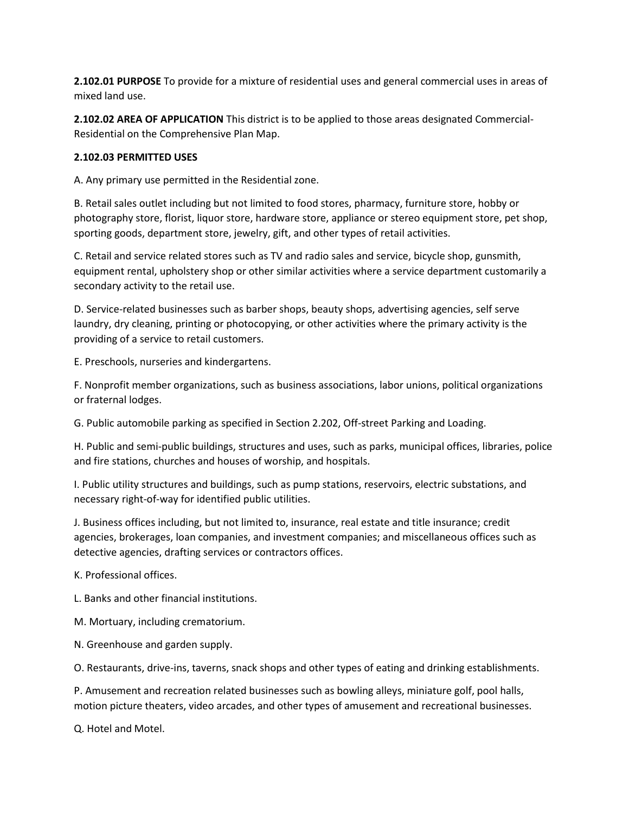**2.102.01 PURPOSE** To provide for a mixture of residential uses and general commercial uses in areas of mixed land use.

**2.102.02 AREA OF APPLICATION** This district is to be applied to those areas designated Commercial-Residential on the Comprehensive Plan Map.

## **2.102.03 PERMITTED USES**

A. Any primary use permitted in the Residential zone.

B. Retail sales outlet including but not limited to food stores, pharmacy, furniture store, hobby or photography store, florist, liquor store, hardware store, appliance or stereo equipment store, pet shop, sporting goods, department store, jewelry, gift, and other types of retail activities.

C. Retail and service related stores such as TV and radio sales and service, bicycle shop, gunsmith, equipment rental, upholstery shop or other similar activities where a service department customarily a secondary activity to the retail use.

D. Service-related businesses such as barber shops, beauty shops, advertising agencies, self serve laundry, dry cleaning, printing or photocopying, or other activities where the primary activity is the providing of a service to retail customers.

E. Preschools, nurseries and kindergartens.

F. Nonprofit member organizations, such as business associations, labor unions, political organizations or fraternal lodges.

G. Public automobile parking as specified in Section 2.202, Off-street Parking and Loading.

H. Public and semi-public buildings, structures and uses, such as parks, municipal offices, libraries, police and fire stations, churches and houses of worship, and hospitals.

I. Public utility structures and buildings, such as pump stations, reservoirs, electric substations, and necessary right-of-way for identified public utilities.

J. Business offices including, but not limited to, insurance, real estate and title insurance; credit agencies, brokerages, loan companies, and investment companies; and miscellaneous offices such as detective agencies, drafting services or contractors offices.

K. Professional offices.

L. Banks and other financial institutions.

M. Mortuary, including crematorium.

N. Greenhouse and garden supply.

O. Restaurants, drive-ins, taverns, snack shops and other types of eating and drinking establishments.

P. Amusement and recreation related businesses such as bowling alleys, miniature golf, pool halls, motion picture theaters, video arcades, and other types of amusement and recreational businesses.

Q. Hotel and Motel.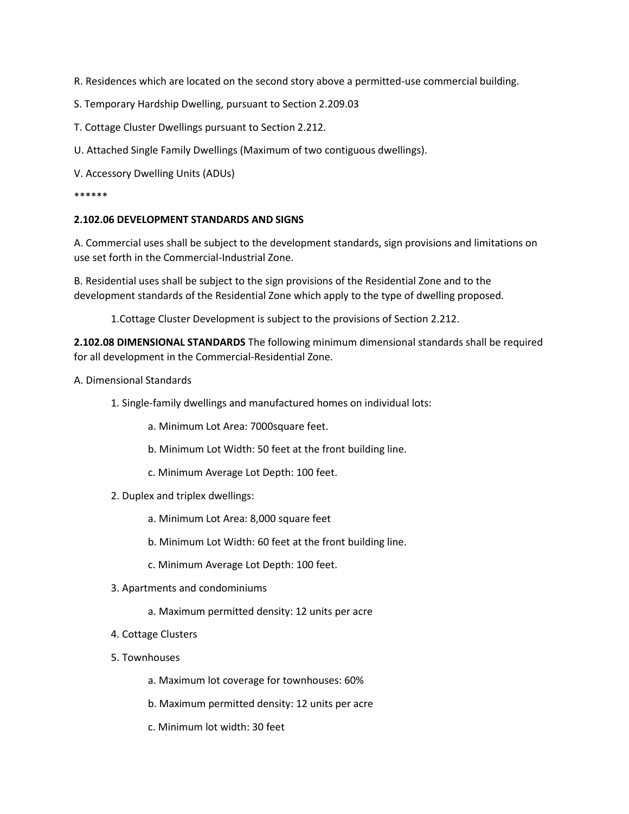R. Residences which are located on the second story above a permitted-use commercial building.

- S. Temporary Hardship Dwelling, pursuant to Section 2.209.03
- T. Cottage Cluster Dwellings pursuant to Section 2.212.
- U. Attached Single Family Dwellings (Maximum of two contiguous dwellings).
- V. Accessory Dwelling Units (ADUs)

#### \*\*\*\*\*\*

#### **2.102.06 DEVELOPMENT STANDARDS AND SIGNS**

A. Commercial uses shall be subject to the development standards, sign provisions and limitations on use set forth in the Commercial-Industrial Zone.

B. Residential uses shall be subject to the sign provisions of the Residential Zone and to the development standards of the Residential Zone which apply to the type of dwelling proposed.

1.Cottage Cluster Development is subject to the provisions of Section 2.212.

**2.102.08 DIMENSIONAL STANDARDS** The following minimum dimensional standards shall be required for all development in the Commercial-Residential Zone.

- A. Dimensional Standards
	- 1. Single-family dwellings and manufactured homes on individual lots:
		- a. Minimum Lot Area: 7000square feet.
		- b. Minimum Lot Width: 50 feet at the front building line.
		- c. Minimum Average Lot Depth: 100 feet.
	- 2. Duplex and triplex dwellings:
		- a. Minimum Lot Area: 8,000 square feet
		- b. Minimum Lot Width: 60 feet at the front building line.
		- c. Minimum Average Lot Depth: 100 feet.
	- 3. Apartments and condominiums
		- a. Maximum permitted density: 12 units per acre
	- 4. Cottage Clusters
	- 5. Townhouses
		- a. Maximum lot coverage for townhouses: 60%
		- b. Maximum permitted density: 12 units per acre
		- c. Minimum lot width: 30 feet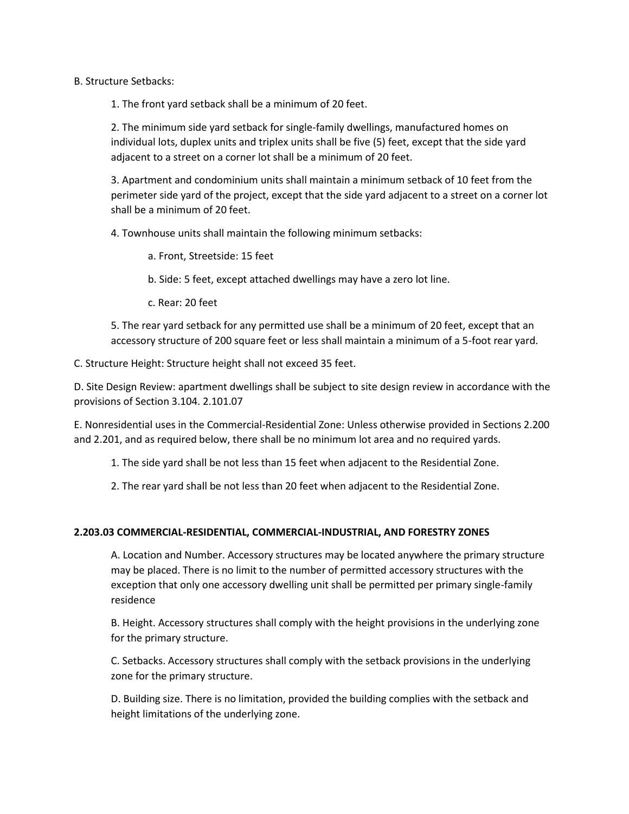## B. Structure Setbacks:

1. The front yard setback shall be a minimum of 20 feet.

2. The minimum side yard setback for single-family dwellings, manufactured homes on individual lots, duplex units and triplex units shall be five (5) feet, except that the side yard adjacent to a street on a corner lot shall be a minimum of 20 feet.

3. Apartment and condominium units shall maintain a minimum setback of 10 feet from the perimeter side yard of the project, except that the side yard adjacent to a street on a corner lot shall be a minimum of 20 feet.

4. Townhouse units shall maintain the following minimum setbacks:

a. Front, Streetside: 15 feet

b. Side: 5 feet, except attached dwellings may have a zero lot line.

c. Rear: 20 feet

5. The rear yard setback for any permitted use shall be a minimum of 20 feet, except that an accessory structure of 200 square feet or less shall maintain a minimum of a 5-foot rear yard.

C. Structure Height: Structure height shall not exceed 35 feet.

D. Site Design Review: apartment dwellings shall be subject to site design review in accordance with the provisions of Section 3.104. 2.101.07

E. Nonresidential uses in the Commercial-Residential Zone: Unless otherwise provided in Sections 2.200 and 2.201, and as required below, there shall be no minimum lot area and no required yards.

1. The side yard shall be not less than 15 feet when adjacent to the Residential Zone.

2. The rear yard shall be not less than 20 feet when adjacent to the Residential Zone.

#### **2.203.03 COMMERCIAL-RESIDENTIAL, COMMERCIAL-INDUSTRIAL, AND FORESTRY ZONES**

A. Location and Number. Accessory structures may be located anywhere the primary structure may be placed. There is no limit to the number of permitted accessory structures with the exception that only one accessory dwelling unit shall be permitted per primary single-family residence

B. Height. Accessory structures shall comply with the height provisions in the underlying zone for the primary structure.

C. Setbacks. Accessory structures shall comply with the setback provisions in the underlying zone for the primary structure.

D. Building size. There is no limitation, provided the building complies with the setback and height limitations of the underlying zone.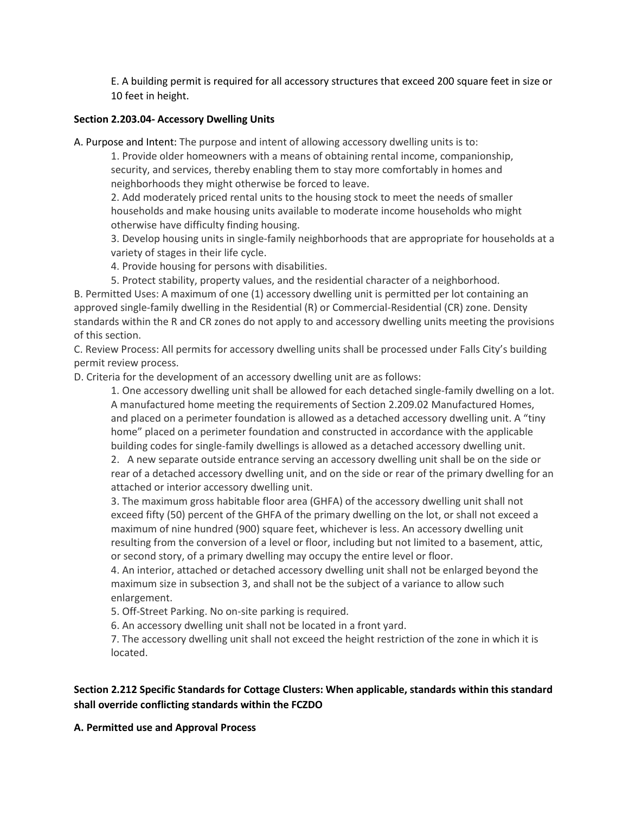E. A building permit is required for all accessory structures that exceed 200 square feet in size or 10 feet in height.

## **Section 2.203.04- Accessory Dwelling Units**

A. Purpose and Intent: The purpose and intent of allowing accessory dwelling units is to:

1. Provide older homeowners with a means of obtaining rental income, companionship, security, and services, thereby enabling them to stay more comfortably in homes and neighborhoods they might otherwise be forced to leave.

2. Add moderately priced rental units to the housing stock to meet the needs of smaller households and make housing units available to moderate income households who might otherwise have difficulty finding housing.

3. Develop housing units in single-family neighborhoods that are appropriate for households at a variety of stages in their life cycle.

4. Provide housing for persons with disabilities.

5. Protect stability, property values, and the residential character of a neighborhood.

B. Permitted Uses: A maximum of one (1) accessory dwelling unit is permitted per lot containing an approved single-family dwelling in the Residential (R) or Commercial-Residential (CR) zone. Density standards within the R and CR zones do not apply to and accessory dwelling units meeting the provisions of this section.

C. Review Process: All permits for accessory dwelling units shall be processed under Falls City's building permit review process.

D. Criteria for the development of an accessory dwelling unit are as follows:

1. One accessory dwelling unit shall be allowed for each detached single-family dwelling on a lot. A manufactured home meeting the requirements of Section 2.209.02 Manufactured Homes, and placed on a perimeter foundation is allowed as a detached accessory dwelling unit. A "tiny home" placed on a perimeter foundation and constructed in accordance with the applicable building codes for single-family dwellings is allowed as a detached accessory dwelling unit.

2. A new separate outside entrance serving an accessory dwelling unit shall be on the side or rear of a detached accessory dwelling unit, and on the side or rear of the primary dwelling for an attached or interior accessory dwelling unit.

3. The maximum gross habitable floor area (GHFA) of the accessory dwelling unit shall not exceed fifty (50) percent of the GHFA of the primary dwelling on the lot, or shall not exceed a maximum of nine hundred (900) square feet, whichever is less. An accessory dwelling unit resulting from the conversion of a level or floor, including but not limited to a basement, attic, or second story, of a primary dwelling may occupy the entire level or floor.

4. An interior, attached or detached accessory dwelling unit shall not be enlarged beyond the maximum size in subsection 3, and shall not be the subject of a variance to allow such enlargement.

5. Off-Street Parking. No on-site parking is required.

6. An accessory dwelling unit shall not be located in a front yard.

7. The accessory dwelling unit shall not exceed the height restriction of the zone in which it is located.

## **Section 2.212 Specific Standards for Cottage Clusters: When applicable, standards within this standard shall override conflicting standards within the FCZDO**

**A. Permitted use and Approval Process**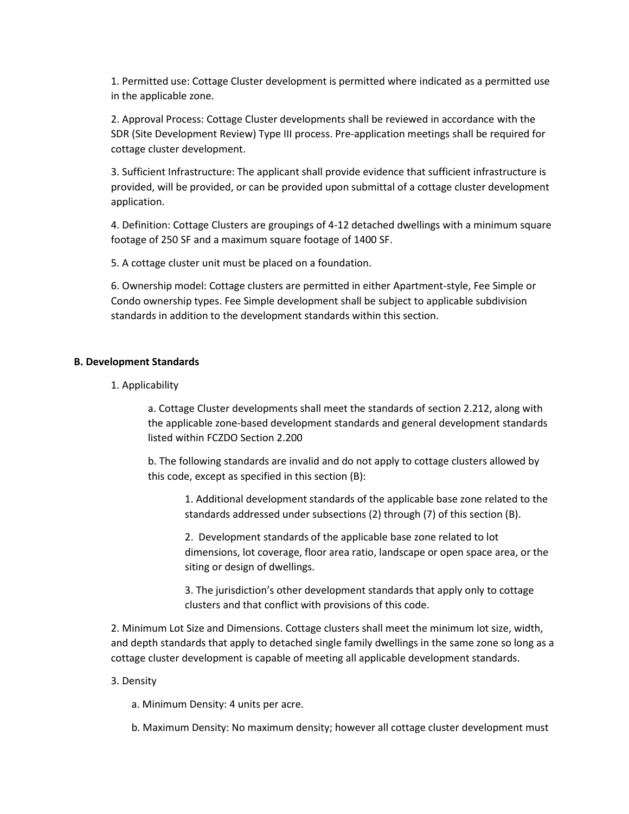1. Permitted use: Cottage Cluster development is permitted where indicated as a permitted use in the applicable zone.

2. Approval Process: Cottage Cluster developments shall be reviewed in accordance with the SDR (Site Development Review) Type III process. Pre-application meetings shall be required for cottage cluster development.

3. Sufficient Infrastructure: The applicant shall provide evidence that sufficient infrastructure is provided, will be provided, or can be provided upon submittal of a cottage cluster development application.

4. Definition: Cottage Clusters are groupings of 4-12 detached dwellings with a minimum square footage of 250 SF and a maximum square footage of 1400 SF.

5. A cottage cluster unit must be placed on a foundation.

6. Ownership model: Cottage clusters are permitted in either Apartment-style, Fee Simple or Condo ownership types. Fee Simple development shall be subject to applicable subdivision standards in addition to the development standards within this section.

#### **B. Development Standards**

1. Applicability

a. Cottage Cluster developments shall meet the standards of section 2.212, along with the applicable zone-based development standards and general development standards listed within FCZDO Section 2.200

b. The following standards are invalid and do not apply to cottage clusters allowed by this code, except as specified in this section (B):

1. Additional development standards of the applicable base zone related to the standards addressed under subsections (2) through (7) of this section (B).

2. Development standards of the applicable base zone related to lot dimensions, lot coverage, floor area ratio, landscape or open space area, or the siting or design of dwellings.

3. The jurisdiction's other development standards that apply only to cottage clusters and that conflict with provisions of this code.

2. Minimum Lot Size and Dimensions. Cottage clusters shall meet the minimum lot size, width, and depth standards that apply to detached single family dwellings in the same zone so long as a cottage cluster development is capable of meeting all applicable development standards.

#### 3. Density

- a. Minimum Density: 4 units per acre.
- b. Maximum Density: No maximum density; however all cottage cluster development must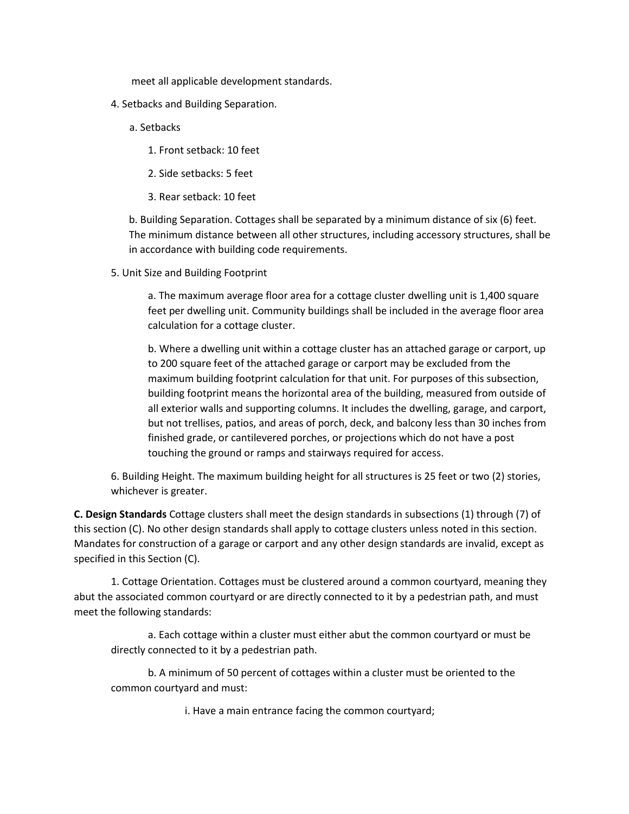meet all applicable development standards.

- 4. Setbacks and Building Separation.
	- a. Setbacks
		- 1. Front setback: 10 feet
		- 2. Side setbacks: 5 feet
		- 3. Rear setback: 10 feet

b. Building Separation. Cottages shall be separated by a minimum distance of six (6) feet. The minimum distance between all other structures, including accessory structures, shall be in accordance with building code requirements.

5. Unit Size and Building Footprint

a. The maximum average floor area for a cottage cluster dwelling unit is 1,400 square feet per dwelling unit. Community buildings shall be included in the average floor area calculation for a cottage cluster.

b. Where a dwelling unit within a cottage cluster has an attached garage or carport, up to 200 square feet of the attached garage or carport may be excluded from the maximum building footprint calculation for that unit. For purposes of this subsection, building footprint means the horizontal area of the building, measured from outside of all exterior walls and supporting columns. It includes the dwelling, garage, and carport, but not trellises, patios, and areas of porch, deck, and balcony less than 30 inches from finished grade, or cantilevered porches, or projections which do not have a post touching the ground or ramps and stairways required for access.

6. Building Height. The maximum building height for all structures is 25 feet or two (2) stories, whichever is greater.

**C. Design Standards** Cottage clusters shall meet the design standards in subsections (1) through (7) of this section (C). No other design standards shall apply to cottage clusters unless noted in this section. Mandates for construction of a garage or carport and any other design standards are invalid, except as specified in this Section (C).

1. Cottage Orientation. Cottages must be clustered around a common courtyard, meaning they abut the associated common courtyard or are directly connected to it by a pedestrian path, and must meet the following standards:

a. Each cottage within a cluster must either abut the common courtyard or must be directly connected to it by a pedestrian path.

b. A minimum of 50 percent of cottages within a cluster must be oriented to the common courtyard and must:

i. Have a main entrance facing the common courtyard;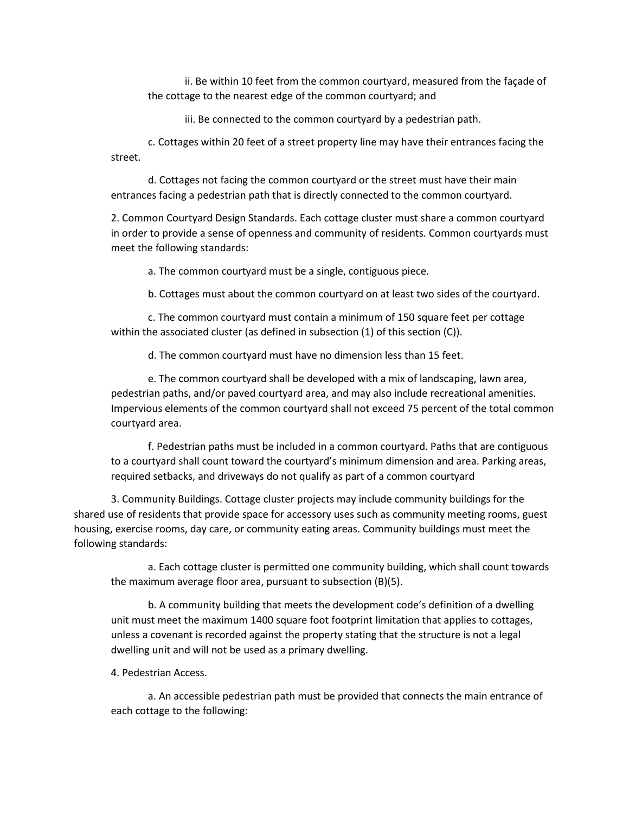ii. Be within 10 feet from the common courtyard, measured from the façade of the cottage to the nearest edge of the common courtyard; and

iii. Be connected to the common courtyard by a pedestrian path.

c. Cottages within 20 feet of a street property line may have their entrances facing the street.

d. Cottages not facing the common courtyard or the street must have their main entrances facing a pedestrian path that is directly connected to the common courtyard.

2. Common Courtyard Design Standards. Each cottage cluster must share a common courtyard in order to provide a sense of openness and community of residents. Common courtyards must meet the following standards:

a. The common courtyard must be a single, contiguous piece.

b. Cottages must about the common courtyard on at least two sides of the courtyard.

c. The common courtyard must contain a minimum of 150 square feet per cottage within the associated cluster (as defined in subsection (1) of this section (C)).

d. The common courtyard must have no dimension less than 15 feet.

e. The common courtyard shall be developed with a mix of landscaping, lawn area, pedestrian paths, and/or paved courtyard area, and may also include recreational amenities. Impervious elements of the common courtyard shall not exceed 75 percent of the total common courtyard area.

f. Pedestrian paths must be included in a common courtyard. Paths that are contiguous to a courtyard shall count toward the courtyard's minimum dimension and area. Parking areas, required setbacks, and driveways do not qualify as part of a common courtyard

3. Community Buildings. Cottage cluster projects may include community buildings for the shared use of residents that provide space for accessory uses such as community meeting rooms, guest housing, exercise rooms, day care, or community eating areas. Community buildings must meet the following standards:

a. Each cottage cluster is permitted one community building, which shall count towards the maximum average floor area, pursuant to subsection (B)(5).

b. A community building that meets the development code's definition of a dwelling unit must meet the maximum 1400 square foot footprint limitation that applies to cottages, unless a covenant is recorded against the property stating that the structure is not a legal dwelling unit and will not be used as a primary dwelling.

4. Pedestrian Access.

a. An accessible pedestrian path must be provided that connects the main entrance of each cottage to the following: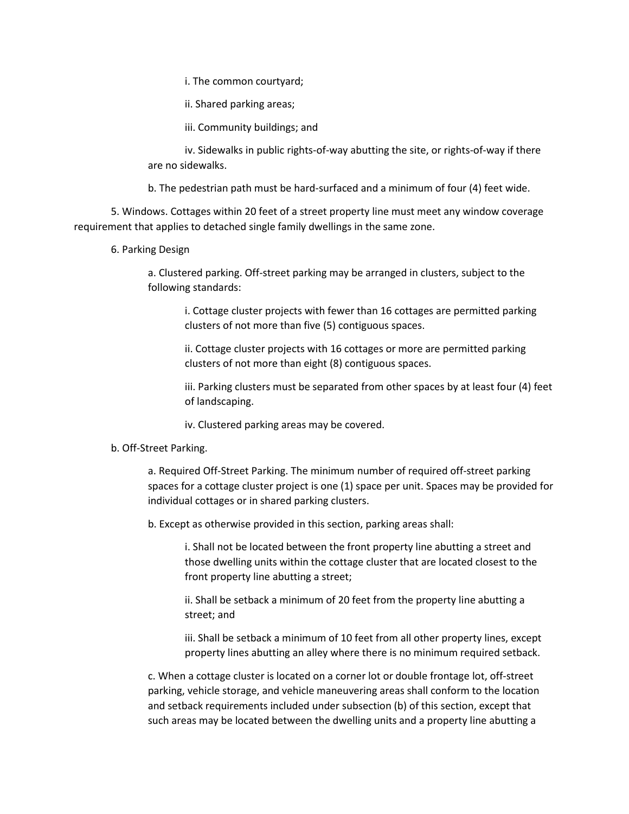i. The common courtyard;

ii. Shared parking areas;

iii. Community buildings; and

iv. Sidewalks in public rights-of-way abutting the site, or rights-of-way if there are no sidewalks.

b. The pedestrian path must be hard-surfaced and a minimum of four (4) feet wide.

5. Windows. Cottages within 20 feet of a street property line must meet any window coverage requirement that applies to detached single family dwellings in the same zone.

6. Parking Design

a. Clustered parking. Off-street parking may be arranged in clusters, subject to the following standards:

i. Cottage cluster projects with fewer than 16 cottages are permitted parking clusters of not more than five (5) contiguous spaces.

ii. Cottage cluster projects with 16 cottages or more are permitted parking clusters of not more than eight (8) contiguous spaces.

iii. Parking clusters must be separated from other spaces by at least four (4) feet of landscaping.

iv. Clustered parking areas may be covered.

## b. Off-Street Parking.

a. Required Off-Street Parking. The minimum number of required off-street parking spaces for a cottage cluster project is one (1) space per unit. Spaces may be provided for individual cottages or in shared parking clusters.

b. Except as otherwise provided in this section, parking areas shall:

i. Shall not be located between the front property line abutting a street and those dwelling units within the cottage cluster that are located closest to the front property line abutting a street;

ii. Shall be setback a minimum of 20 feet from the property line abutting a street; and

iii. Shall be setback a minimum of 10 feet from all other property lines, except property lines abutting an alley where there is no minimum required setback.

c. When a cottage cluster is located on a corner lot or double frontage lot, off-street parking, vehicle storage, and vehicle maneuvering areas shall conform to the location and setback requirements included under subsection (b) of this section, except that such areas may be located between the dwelling units and a property line abutting a